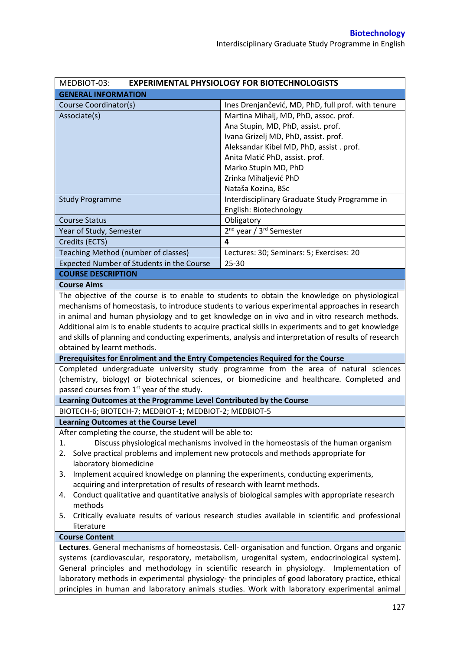| MEDBIOT-03:                                                                                                                                                                                  | <b>EXPERIMENTAL PHYSIOLOGY FOR BIOTECHNOLOGISTS</b>                                                   |  |  |  |
|----------------------------------------------------------------------------------------------------------------------------------------------------------------------------------------------|-------------------------------------------------------------------------------------------------------|--|--|--|
| <b>GENERAL INFORMATION</b>                                                                                                                                                                   |                                                                                                       |  |  |  |
| Course Coordinator(s)                                                                                                                                                                        | Ines Drenjančević, MD, PhD, full prof. with tenure                                                    |  |  |  |
| Associate(s)                                                                                                                                                                                 | Martina Mihalj, MD, PhD, assoc. prof.                                                                 |  |  |  |
|                                                                                                                                                                                              | Ana Stupin, MD, PhD, assist. prof.                                                                    |  |  |  |
|                                                                                                                                                                                              | Ivana Grizelj MD, PhD, assist. prof.                                                                  |  |  |  |
|                                                                                                                                                                                              | Aleksandar Kibel MD, PhD, assist. prof.                                                               |  |  |  |
|                                                                                                                                                                                              | Anita Matić PhD, assist. prof.                                                                        |  |  |  |
|                                                                                                                                                                                              | Marko Stupin MD, PhD                                                                                  |  |  |  |
|                                                                                                                                                                                              | Zrinka Mihaljević PhD                                                                                 |  |  |  |
|                                                                                                                                                                                              | Nataša Kozina, BSc                                                                                    |  |  |  |
| <b>Study Programme</b>                                                                                                                                                                       | Interdisciplinary Graduate Study Programme in                                                         |  |  |  |
|                                                                                                                                                                                              | English: Biotechnology                                                                                |  |  |  |
| <b>Course Status</b>                                                                                                                                                                         | Obligatory                                                                                            |  |  |  |
| Year of Study, Semester                                                                                                                                                                      | 2 <sup>nd</sup> year / 3 <sup>rd</sup> Semester                                                       |  |  |  |
| Credits (ECTS)                                                                                                                                                                               | 4                                                                                                     |  |  |  |
| Teaching Method (number of classes)                                                                                                                                                          | Lectures: 30; Seminars: 5; Exercises: 20                                                              |  |  |  |
| Expected Number of Students in the Course                                                                                                                                                    | 25-30                                                                                                 |  |  |  |
| <b>COURSE DESCRIPTION</b>                                                                                                                                                                    |                                                                                                       |  |  |  |
| <b>Course Aims</b>                                                                                                                                                                           |                                                                                                       |  |  |  |
|                                                                                                                                                                                              | The objective of the course is to enable to students to obtain the knowledge on physiological         |  |  |  |
|                                                                                                                                                                                              | mechanisms of homeostasis, to introduce students to various experimental approaches in research       |  |  |  |
|                                                                                                                                                                                              | in animal and human physiology and to get knowledge on in vivo and in vitro research methods.         |  |  |  |
|                                                                                                                                                                                              | Additional aim is to enable students to acquire practical skills in experiments and to get knowledge  |  |  |  |
|                                                                                                                                                                                              | and skills of planning and conducting experiments, analysis and interpretation of results of research |  |  |  |
| obtained by learnt methods.                                                                                                                                                                  |                                                                                                       |  |  |  |
| Prerequisites for Enrolment and the Entry Competencies Required for the Course                                                                                                               |                                                                                                       |  |  |  |
|                                                                                                                                                                                              | Completed undergraduate university study programme from the area of natural sciences                  |  |  |  |
|                                                                                                                                                                                              | (chemistry, biology) or biotechnical sciences, or biomedicine and healthcare. Completed and           |  |  |  |
| passed courses from 1 <sup>st</sup> year of the study.                                                                                                                                       |                                                                                                       |  |  |  |
| Learning Outcomes at the Programme Level Contributed by the Course                                                                                                                           |                                                                                                       |  |  |  |
| BIOTECH-6; BIOTECH-7; MEDBIOT-1; MEDBIOT-2; MEDBIOT-5                                                                                                                                        |                                                                                                       |  |  |  |
| <b>Learning Outcomes at the Course Level</b>                                                                                                                                                 |                                                                                                       |  |  |  |
| After completing the course, the student will be able to:                                                                                                                                    |                                                                                                       |  |  |  |
| 1.                                                                                                                                                                                           | Discuss physiological mechanisms involved in the homeostasis of the human organism                    |  |  |  |
| Solve practical problems and implement new protocols and methods appropriate for<br>2.                                                                                                       |                                                                                                       |  |  |  |
| laboratory biomedicine                                                                                                                                                                       |                                                                                                       |  |  |  |
| 3.                                                                                                                                                                                           | Implement acquired knowledge on planning the experiments, conducting experiments,                     |  |  |  |
| acquiring and interpretation of results of research with learnt methods.                                                                                                                     |                                                                                                       |  |  |  |
| Conduct qualitative and quantitative analysis of biological samples with appropriate research<br>4.                                                                                          |                                                                                                       |  |  |  |
| methods                                                                                                                                                                                      |                                                                                                       |  |  |  |
| Critically evaluate results of various research studies available in scientific and professional<br>5.                                                                                       |                                                                                                       |  |  |  |
| literature                                                                                                                                                                                   |                                                                                                       |  |  |  |
| <b>Course Content</b>                                                                                                                                                                        |                                                                                                       |  |  |  |
| Lectures. General mechanisms of homeostasis. Cell- organisation and function. Organs and organic                                                                                             |                                                                                                       |  |  |  |
| systems (cardiovascular, resporatory, metabolism, urogenital system, endocrinological system).<br>General principles and methodology in scientific research in physiology. Implementation of |                                                                                                       |  |  |  |
| laboratory methods in experimental physiology- the principles of good laboratory practice, ethical                                                                                           |                                                                                                       |  |  |  |
|                                                                                                                                                                                              |                                                                                                       |  |  |  |
|                                                                                                                                                                                              | principles in human and laboratory animals studies. Work with laboratory experimental animal          |  |  |  |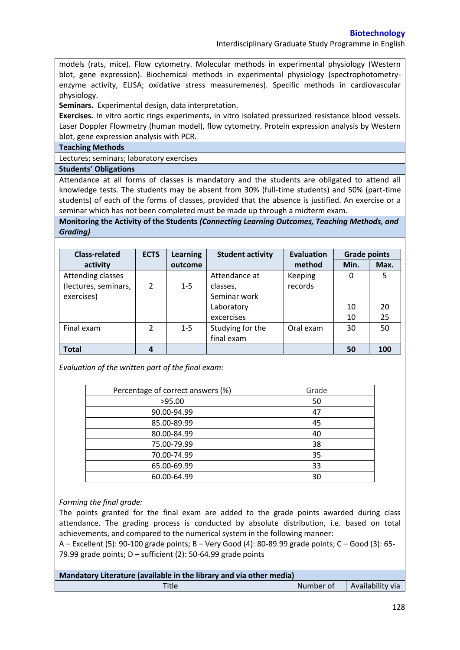Interdisciplinary Graduate Study Programme in English

models (rats, mice). Flow cytometry. Molecular methods in experimental physiology (Western blot, gene expression). Biochemical methods in experimental physiology (spectrophotometryenzyme activity, ELISA; oxidative stress measuremenes). Specific methods in cardiovascular physiology.

**Seminars.** Experimental design, data interpretation.

**Exercises.** In vitro aortic rings experiments, in vitro isolated pressurized resistance blood vessels. Laser Doppler Flowmetry (human model), flow cytometry. Protein expression analysis by Western blot, gene expression analysis with PCR.

**Teaching Methods**

Lectures; seminars; laboratory exercises

**Students' Obligations**

Attendance at all forms of classes is mandatory and the students are obligated to attend all knowledge tests. The students may be absent from 30% (full-time students) and 50% (part-time students) of each of the forms of classes, provided that the absence is justified. An exercise or a seminar which has not been completed must be made up through a midterm exam.

**Monitoring the Activity of the Students** *(Connecting Learning Outcomes, Teaching Methods, and Grading)*

| <b>Class-related</b> | <b>ECTS</b>    | <b>Learning</b> | <b>Student activity</b> | <b>Evaluation</b> | <b>Grade points</b> |      |
|----------------------|----------------|-----------------|-------------------------|-------------------|---------------------|------|
| activity             |                | outcome         |                         | method            | Min.                | Max. |
| Attending classes    |                |                 | Attendance at           | Keeping           | 0                   | 5    |
| (lectures, seminars, | 2              | $1 - 5$         | classes,                | records           |                     |      |
| exercises)           |                |                 | Seminar work            |                   |                     |      |
|                      |                |                 | Laboratory              |                   | 10                  | 20   |
|                      |                |                 | excercises              |                   | 10                  | 25   |
| Final exam           | $\overline{2}$ | $1 - 5$         | Studying for the        | Oral exam         | 30                  | 50   |
|                      |                |                 | final exam              |                   |                     |      |
| <b>Total</b>         |                |                 |                         |                   | 50                  | 100  |

*Evaluation of the written part of the final exam:*

| Percentage of correct answers (%) | Grade |
|-----------------------------------|-------|
| >95.00                            | 50    |
| 90.00-94.99                       | 47    |
| 85.00-89.99                       | 45    |
| 80.00-84.99                       | 40    |
| 75.00-79.99                       | 38    |
| 70.00-74.99                       | 35    |
| 65.00-69.99                       | 33    |
| 60.00-64.99                       | 30    |

## *Forming the final grade:*

The points granted for the final exam are added to the grade points awarded during class attendance. The grading process is conducted by absolute distribution, i.e. based on total achievements, and compared to the numerical system in the following manner:

A – Excellent (5): 90-100 grade points; B – Very Good (4): 80-89.99 grade points; C – Good (3): 65- 79.99 grade points; D – sufficient (2): 50-64.99 grade points

| Mandatory Literature (available in the library and via other media) |           |                  |  |  |
|---------------------------------------------------------------------|-----------|------------------|--|--|
| Title                                                               | Number of | Availability via |  |  |